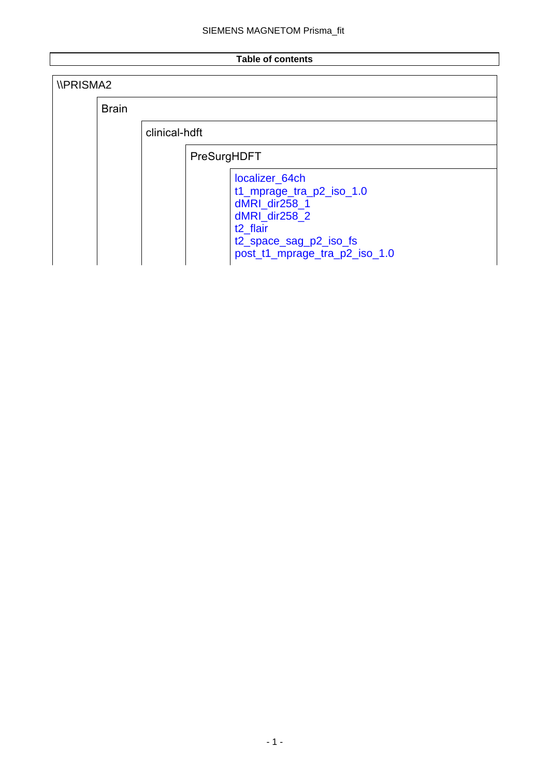### **Table of contents**

| <b><i>IPRISMA2</i></b> |              |               |             |                                                                                                                                                                 |
|------------------------|--------------|---------------|-------------|-----------------------------------------------------------------------------------------------------------------------------------------------------------------|
|                        | <b>Brain</b> |               |             |                                                                                                                                                                 |
|                        |              | clinical-hdft |             |                                                                                                                                                                 |
|                        |              |               | PreSurgHDFT |                                                                                                                                                                 |
|                        |              |               |             | localizer_64ch<br>t1_mprage_tra_p2_iso_1.0<br>dMRI dir258 1<br>dMRI_dir258_2<br>t <sub>2</sub> flair<br>t2_space_sag_p2_iso_fs<br>post_t1_mprage_tra_p2_iso_1.0 |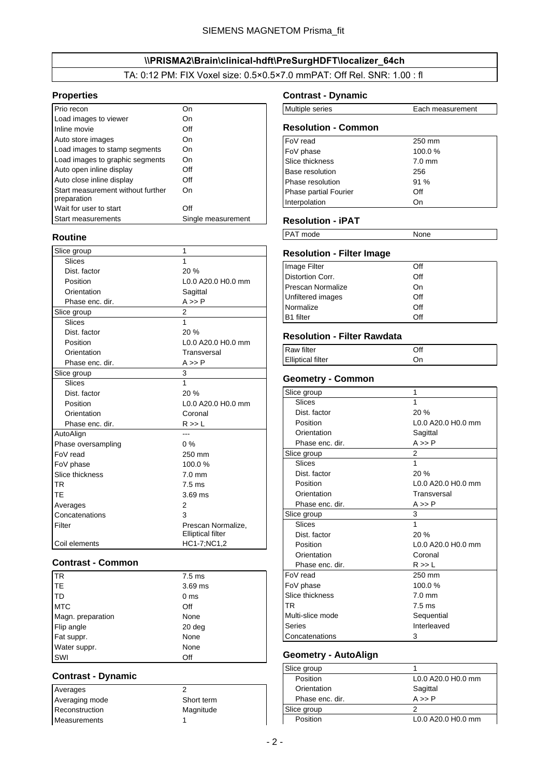## \\PRISMA2\Brain\clinical-hdft\PreSurgHDFT\localizer\_64ch

TA: 0:12 PM: FIX Voxel size: 0.5×0.5×7.0 mmPAT: Off Rel. SNR: 1.00 : fl

#### <span id="page-1-0"></span>**Properties**

| Prio recon                                       |                    |
|--------------------------------------------------|--------------------|
| Load images to viewer                            | On                 |
| Inline movie                                     | Off                |
| Auto store images                                | On                 |
| Load images to stamp segments                    | On                 |
| Load images to graphic segments                  | On                 |
| Auto open inline display                         | Off                |
| Auto close inline display                        | Off                |
| Start measurement without further<br>preparation | On                 |
| Wait for user to start                           | Off                |
| <b>Start measurements</b>                        | Single measurement |

#### **Routine**

| Slice group        | 1                        |
|--------------------|--------------------------|
| Slices             | 1                        |
| Dist. factor       | 20%                      |
| Position           | L0.0 A20.0 H0.0 mm       |
| Orientation        | Sagittal                 |
| Phase enc. dir.    | $A \gg P$                |
| Slice group        | 2                        |
| Slices             | 1                        |
| Dist. factor       | 20%                      |
| Position           | L0.0 A20.0 H0.0 mm       |
| Orientation        | Transversal              |
| Phase enc. dir.    | $A \gg P$                |
| Slice group        | 3                        |
| <b>Slices</b>      | $\overline{1}$           |
| Dist. factor       | 20 %                     |
| Position           | L0.0 A20.0 H0.0 mm       |
| Orientation        | Coronal                  |
| Phase enc. dir.    | R >> L                   |
| AutoAlign          |                          |
| Phase oversampling | 0%                       |
| FoV read           | 250 mm                   |
| FoV phase          | 100.0%                   |
| Slice thickness    | $7.0 \text{ mm}$         |
| <b>TR</b>          | $7.5$ ms                 |
| TE                 | $3.69$ ms                |
| Averages           | 2                        |
| Concatenations     | 3                        |
| Filter             | Prescan Normalize,       |
|                    | <b>Elliptical filter</b> |
| Coil elements      | HC1-7;NC1,2              |

#### **Contrast - Common**

| <b>TR</b>         | $7.5$ ms          |
|-------------------|-------------------|
| l TE              | 3.69 ms           |
| l TD              | 0 <sub>ms</sub>   |
| <b>MTC</b>        | Off               |
| Magn. preparation | None              |
| Flip angle        | 20 <sub>deg</sub> |
| Fat suppr.        | None              |
| Water suppr.      | None              |
| SWI               | Off               |

#### **Contrast - Dynamic**

Averages 2 Averaging mode Short term Reconstruction Magnitude Measurements 1

#### **Contrast - Dynamic**

| <b>Multiple series</b> | Each measurement |
|------------------------|------------------|
|                        |                  |

| <b>Resolution - Common</b>   |          |  |  |
|------------------------------|----------|--|--|
| FoV read                     | 250 mm   |  |  |
| FoV phase                    | 100.0%   |  |  |
| Slice thickness              | $7.0$ mm |  |  |
| <b>Base resolution</b>       | 256      |  |  |
| Phase resolution             | 91%      |  |  |
| <b>Phase partial Fourier</b> | Off      |  |  |
| Interpolation                | On       |  |  |

#### **Resolution - iPAT**

| <b>PAT</b> mode | None |
|-----------------|------|

## **Resolution - Filter Image**

| Image Filter             | Off |
|--------------------------|-----|
| Distortion Corr.         | Off |
| <b>Prescan Normalize</b> | On  |
| Unfiltered images        | Off |
| Normalize                | Off |
| <b>B1</b> filter         | Off |

#### **Resolution - Filter Rawdata**

| Raw filter               | Off |
|--------------------------|-----|
| <b>Elliptical filter</b> | On  |

### **Geometry - Common**

| Slice group      | 1                  |
|------------------|--------------------|
| Slices           | 1                  |
| Dist. factor     | 20%                |
| Position         | L0.0 A20.0 H0.0 mm |
| Orientation      | Sagittal           |
| Phase enc. dir.  | $A \gg P$          |
| Slice group      | 2                  |
| Slices           | 1                  |
| Dist. factor     | 20%                |
| Position         | L0.0 A20.0 H0.0 mm |
| Orientation      | Transversal        |
| Phase enc. dir.  | $A \gg P$          |
| Slice group      | 3                  |
| Slices           | 1                  |
| Dist. factor     | 20%                |
| Position         | L0.0 A20.0 H0.0 mm |
| Orientation      | Coronal            |
| Phase enc. dir.  | R >> L             |
| FoV read         | 250 mm             |
| FoV phase        | 100.0%             |
| Slice thickness  | $7.0 \text{ mm}$   |
| TR               | $7.5 \text{ ms}$   |
| Multi-slice mode | Sequential         |
| Series           | Interleaved        |
| Concatenations   | 3                  |

### **Geometry - AutoAlign**

| Slice group     |                    |
|-----------------|--------------------|
| Position        | L0.0 A20.0 H0.0 mm |
| Orientation     | Sagittal           |
| Phase enc. dir. | $A \gg P$          |
| Slice group     |                    |
| Position        | L0.0 A20.0 H0.0 mm |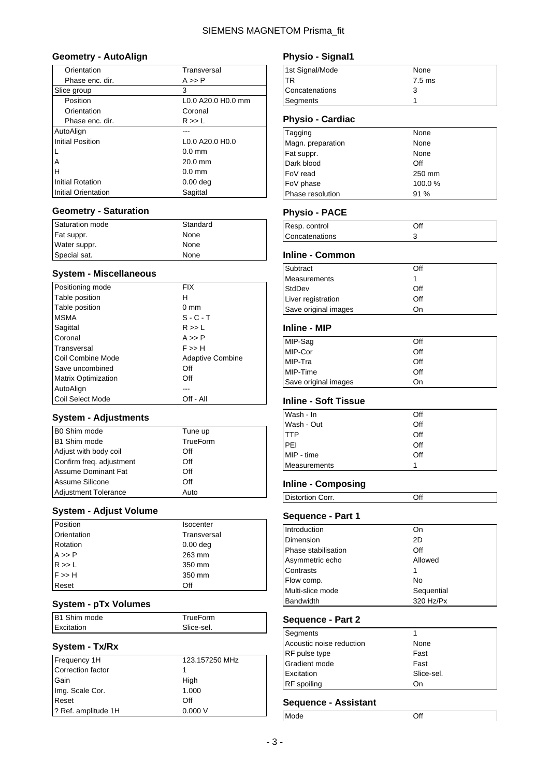### **Geometry - AutoAlign**

| Orientation             | Transversal                                         |
|-------------------------|-----------------------------------------------------|
| Phase enc. dir.         | A >> P                                              |
| Slice group             | 3                                                   |
| Position                | L0.0 A20.0 H0.0 mm                                  |
| Orientation             | Coronal                                             |
| Phase enc. dir.         | R >> L                                              |
| AutoAlign               |                                                     |
| <b>Initial Position</b> | L <sub>0.0</sub> A <sub>20.0</sub> H <sub>0.0</sub> |
|                         | $0.0$ mm                                            |
| A                       | $20.0$ mm                                           |
| Н                       | $0.0$ mm                                            |
| <b>Initial Rotation</b> | $0.00$ deg                                          |
| Initial Orientation     | Sagittal                                            |

#### **Geometry - Saturation**

| Saturation mode | Standard |
|-----------------|----------|
| Fat suppr.      | None     |
| Water suppr.    | None     |
| Special sat.    | None     |

### **System - Miscellaneous**

| Positioning mode           | FIX                     |
|----------------------------|-------------------------|
| Table position             | н                       |
| Table position             | $0 \text{ mm}$          |
| <b>MSMA</b>                | $S - C - T$             |
| Sagittal                   | R >> L                  |
| Coronal                    | A >> P                  |
| Transversal                | $F \gg H$               |
| Coil Combine Mode          | <b>Adaptive Combine</b> |
| Save uncombined            | Off                     |
| <b>Matrix Optimization</b> | Off                     |
| AutoAlign                  |                         |
| Coil Select Mode           | Off - All               |

### **System - Adjustments**

| B0 Shim mode                | Tune up  |
|-----------------------------|----------|
| B1 Shim mode                | TrueForm |
| Adjust with body coil       | Off      |
| Confirm freq. adjustment    | Off      |
| Assume Dominant Fat         | Off      |
| Assume Silicone             | Off      |
| <b>Adjustment Tolerance</b> | Auto     |

### **System - Adjust Volume**

| Position                         | <b>Isocenter</b> |
|----------------------------------|------------------|
| Orientation                      | Transversal      |
| Rotation                         | $0.00$ deg       |
| $A >> P$<br>$R >> L$<br>$F >> H$ | 263 mm           |
|                                  | 350 mm           |
|                                  | 350 mm           |
| Reset                            | Off              |

#### **System - pTx Volumes**

| B1 Shim mode | TrueForm   |
|--------------|------------|
| Excitation   | Slice-sel. |
|              |            |

## **System - Tx/Rx**

| 123.157250 MHz |
|----------------|
|                |
| High           |
| 1.000          |
| Off            |
| 0.000V         |
|                |

### **Physio - Signal1**

| 1st Signal/Mode | None     |  |
|-----------------|----------|--|
| TR              | $7.5$ ms |  |
| Concatenations  | ว        |  |
| Segments        |          |  |

### **Physio - Cardiac**

| Tagging           | None   |
|-------------------|--------|
| Magn. preparation | None   |
| Fat suppr.        | None   |
| Dark blood        | Off    |
| FoV read          | 250 mm |
| FoV phase         | 100.0% |
| Phase resolution  | 91 %   |

### **Physio - PACE**

| Resp. control  | Off |
|----------------|-----|
| Concatenations |     |

#### **Inline - Common**

| Subtract             | Off |
|----------------------|-----|
| Measurements         |     |
| StdDev               | Off |
| Liver registration   | Off |
| Save original images | Dn) |

#### **Inline - MIP**

| MIP-Sag              | Off |
|----------------------|-----|
| MIP-Cor              | Off |
| MIP-Tra              | Off |
| MIP-Time             | Off |
| Save original images | On  |

### **Inline - Soft Tissue**

| Wash - In    | Off |
|--------------|-----|
| Wash - Out   | Off |
| <b>ITTP</b>  | Off |
| <b>PEI</b>   | Off |
| MIP - time   | Off |
| Measurements |     |

### **Inline - Composing**

Distortion Corr. Off

## **Sequence - Part 1**

| Introduction        | On         |
|---------------------|------------|
| Dimension           | 2D         |
| Phase stabilisation | Off        |
| Asymmetric echo     | Allowed    |
| Contrasts           |            |
| Flow comp.          | No         |
| Multi-slice mode    | Sequential |
| Bandwidth           | 320 Hz/Px  |

### **Sequence - Part 2**

| Segments                 |            |
|--------------------------|------------|
| Acoustic noise reduction | None       |
| RF pulse type            | Fast       |
| Gradient mode            | Fast       |
| Excitation               | Slice-sel. |
| <b>RF</b> spoiling       | On         |

| Mode | Off |
|------|-----|
|      |     |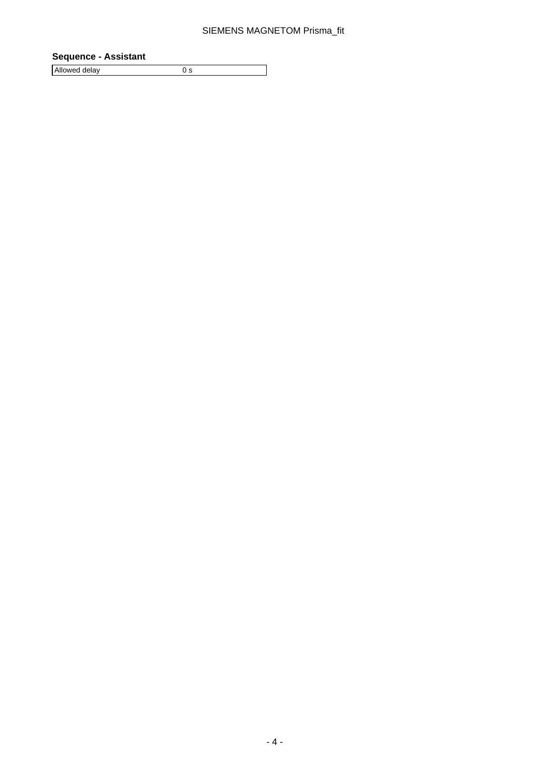### **Sequence - Assistant**

Allowed delay 0 s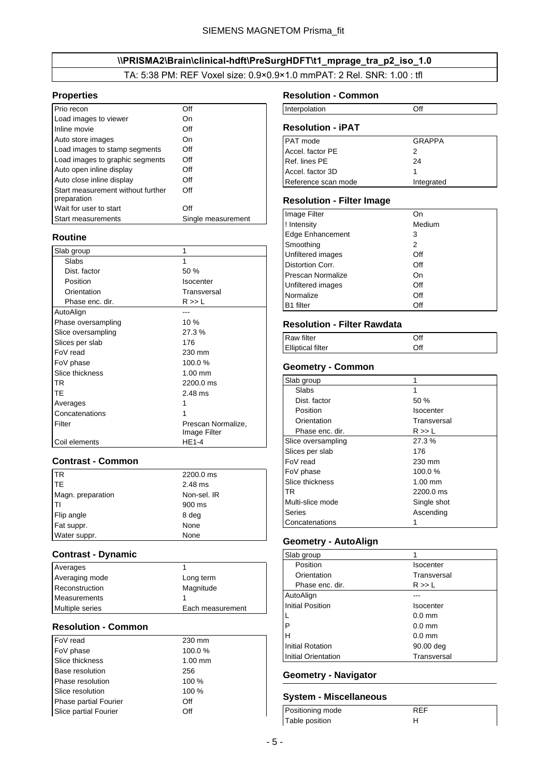## \\PRISMA2\Brain\clinical-hdft\PreSurgHDFT\t1\_mprage\_tra\_p2\_iso\_1.0

TA: 5:38 PM: REF Voxel size: 0.9×0.9×1.0 mmPAT: 2 Rel. SNR: 1.00 : tfl

#### <span id="page-4-0"></span>**Properties**

| Prio recon                                       | Off                |
|--------------------------------------------------|--------------------|
| Load images to viewer                            | On                 |
| Inline movie                                     | Off                |
| Auto store images                                | On                 |
| Load images to stamp segments                    | Off                |
| Load images to graphic segments                  | Off                |
| Auto open inline display                         | Off                |
| Auto close inline display                        | Off                |
| Start measurement without further<br>preparation | Off                |
| Wait for user to start                           | Off                |
| <b>Start measurements</b>                        | Single measurement |

### **Routine**

| Slab group         | 1                                  |
|--------------------|------------------------------------|
| Slabs              | 1                                  |
| Dist. factor       | 50 %                               |
| Position           | <b>Isocenter</b>                   |
| Orientation        | Transversal                        |
| Phase enc. dir.    | R >> L                             |
| AutoAlign          |                                    |
| Phase oversampling | 10%                                |
| Slice oversampling | 27.3%                              |
| Slices per slab    | 176                                |
| FoV read           | 230 mm                             |
| FoV phase          | 100.0%                             |
| Slice thickness    | $1.00$ mm                          |
| TR                 | 2200.0 ms                          |
| TE                 | $2.48$ ms                          |
| Averages           |                                    |
| Concatenations     |                                    |
| Filter             | Prescan Normalize,<br>Image Filter |
| Coil elements      | HE1-4                              |

### **Contrast - Common**

| TR                | 2200.0 ms   |
|-------------------|-------------|
| <b>TE</b>         | 2.48 ms     |
| Magn. preparation | Non-sel. IR |
| Iтı               | 900 ms      |
| Flip angle        | 8 deg       |
| Fat suppr.        | None        |
| Water suppr.      | None        |

#### **Contrast - Dynamic**

| Averages               |                  |
|------------------------|------------------|
| Averaging mode         | Long term        |
| Reconstruction         | Magnitude        |
| Measurements           |                  |
| <b>Multiple series</b> | Each measurement |

### **Resolution - Common**

| FoV read               | 230 mm    |
|------------------------|-----------|
| FoV phase              | 100.0%    |
| Slice thickness        | $1.00$ mm |
| <b>Base resolution</b> | 256       |
| Phase resolution       | 100 %     |
| Slice resolution       | 100 %     |
| Phase partial Fourier  | Off       |
| Slice partial Fourier  | Off       |

#### **Resolution - Common**

| Interpolation |  |
|---------------|--|
|               |  |

## **Resolution - iPAT**

| <b>PAT</b> mode     | <b>GRAPPA</b> |
|---------------------|---------------|
| Accel, factor PE    | 2             |
| Ref. lines PE       | 24            |
| Accel. factor 3D    |               |
| Reference scan mode | Integrated    |

#### **Resolution - Filter Image**

| Image Filter             | On     |
|--------------------------|--------|
| ! Intensity              | Medium |
| <b>Edge Enhancement</b>  | 3      |
| Smoothing                | 2      |
| Unfiltered images        | Off    |
| Distortion Corr.         | Off    |
| <b>Prescan Normalize</b> | On     |
| Unfiltered images        | Off    |
| Normalize                | Off    |
| <b>B1</b> filter         | Off    |

### **Resolution - Filter Rawdata**

| <b>Raw filter</b>        | Off |  |
|--------------------------|-----|--|
| <b>Elliptical filter</b> | Off |  |

### **Geometry - Common**

| Slab group         |             |
|--------------------|-------------|
| Slabs              | 1           |
| Dist. factor       | 50%         |
| Position           | Isocenter   |
| Orientation        | Transversal |
| Phase enc. dir.    | R >> L      |
| Slice oversampling | 27.3%       |
| Slices per slab    | 176         |
| FoV read           | 230 mm      |
| FoV phase          | 100.0%      |
| Slice thickness    | $1.00$ mm   |
| TR                 | 2200.0 ms   |
| Multi-slice mode   | Single shot |
| Series             | Ascending   |
| Concatenations     |             |

### **Geometry - AutoAlign**

| Slab group              | 1           |
|-------------------------|-------------|
| Position                | Isocenter   |
| Orientation             | Transversal |
| Phase enc. dir.         | R >> L      |
| AutoAlign               |             |
| <b>Initial Position</b> | Isocenter   |
| L                       | $0.0$ mm    |
| P                       | $0.0$ mm    |
| н                       | $0.0$ mm    |
| Initial Rotation        | 90.00 deg   |
| Initial Orientation     | Transversal |
|                         |             |

### **Geometry - Navigator**

## **System - Miscellaneous**

| Positioning mode | RFF |
|------------------|-----|
| Table position   |     |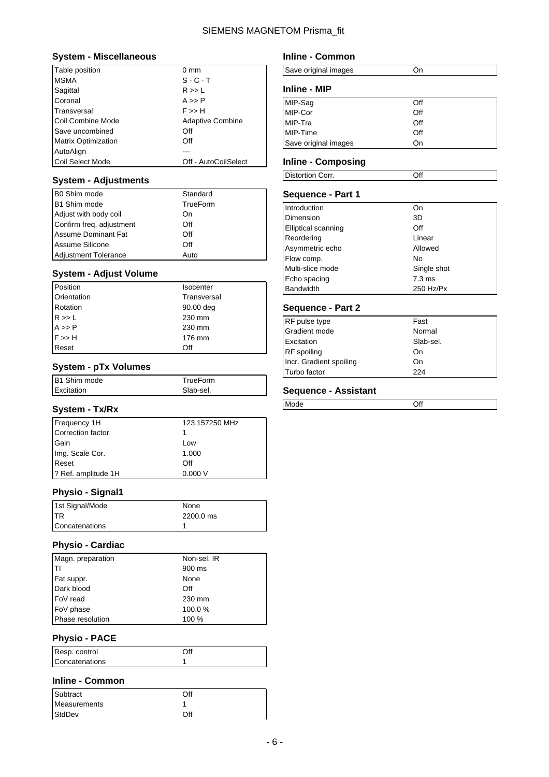### **System - Miscellaneous**

| Table position             | $0 \text{ mm}$          |
|----------------------------|-------------------------|
| <b>MSMA</b>                | $S - C - T$             |
| Sagittal                   | R >> L                  |
| Coronal                    | A >> P                  |
| Transversal                | F >> H                  |
| Coil Combine Mode          | <b>Adaptive Combine</b> |
| Save uncombined            | Off                     |
| <b>Matrix Optimization</b> | Off                     |
| AutoAlign                  |                         |
| Coil Select Mode           | Off - AutoCoilSelect    |

### **System - Adjustments**

| B0 Shim mode                | Standard |
|-----------------------------|----------|
| B1 Shim mode                | TrueForm |
| Adjust with body coil       | On       |
| Confirm freq. adjustment    | Off      |
| <b>Assume Dominant Fat</b>  | Off      |
| Assume Silicone             | Off      |
| <b>Adjustment Tolerance</b> | Auto     |

### **System - Adjust Volume**

| Position                         | <b>Isocenter</b> |
|----------------------------------|------------------|
| Orientation                      | Transversal      |
| Rotation                         | 90.00 deg        |
| $R >> L$<br>$A >> P$<br>$F >> H$ | 230 mm           |
|                                  | 230 mm           |
|                                  | 176 mm           |
| Reset                            | Off              |

#### **System - pTx Volumes**

| B1 Shim mode | TrueForm  |
|--------------|-----------|
| Excitation   | Slab-sel. |

### **System - Tx/Rx**

| Frequency 1H        | 123.157250 MHz |
|---------------------|----------------|
| Correction factor   |                |
| Gain                | Low            |
| Img. Scale Cor.     | 1.000          |
| Reset               | Off            |
| ? Ref. amplitude 1H | 0.000V         |

## **Physio - Signal1**

| 1st Signal/Mode | None      |
|-----------------|-----------|
| <b>ITR</b>      | 2200.0 ms |
| Concatenations  |           |

### **Physio - Cardiac**

| Magn. preparation | Non-sel. IR |
|-------------------|-------------|
| Iтı               | 900 ms      |
| Fat suppr.        | None        |
| Dark blood        | Off         |
| FoV read          | 230 mm      |
| FoV phase         | 100.0%      |
| Phase resolution  | 100 %       |

### **Physio - PACE**

| Resp. control  | Эff |
|----------------|-----|
| Concatenations |     |

### **Inline - Common**

| Subtract     | Off |
|--------------|-----|
| Measurements |     |
| StdDev       | Off |

### **Inline - Common**

| Save original images |  |
|----------------------|--|
|                      |  |

### **Inline - MIP**

| MIP-Sag              | Off |
|----------------------|-----|
| MIP-Cor              | Off |
| MIP-Tra              | Off |
| MIP-Time             | Off |
| Save original images | On  |

#### **Inline - Composing**

| Distortion Corr. | ገዘ |  |
|------------------|----|--|

### **Sequence - Part 1**

| Introduction               | On               |
|----------------------------|------------------|
| Dimension                  | 3D               |
| <b>Elliptical scanning</b> | Off              |
| Reordering                 | Linear           |
| Asymmetric echo            | Allowed          |
| Flow comp.                 | No               |
| Multi-slice mode           | Single shot      |
| Echo spacing               | $7.3 \text{ ms}$ |
| <b>Bandwidth</b>           | 250 Hz/Px        |

### **Sequence - Part 2**

| RF pulse type           | Fast      |
|-------------------------|-----------|
| Gradient mode           | Normal    |
| Excitation              | Slab-sel. |
| RF spoiling             | On        |
| Incr. Gradient spoiling | On        |
| Turbo factor            | 224       |

| $\sim$ |
|--------|
|        |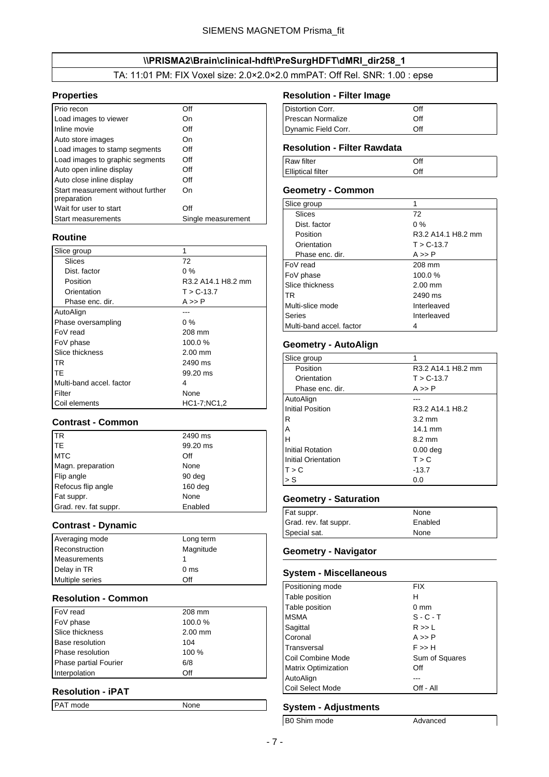#### \\PRISMA2\Brain\clinical-hdft\PreSurgHDFT\dMRI\_dir258\_1

TA: 11:01 PM: FIX Voxel size: 2.0×2.0×2.0 mmPAT: Off Rel. SNR: 1.00 : epse

### <span id="page-6-0"></span>**Properties**

| Prio recon                                       | Off                |
|--------------------------------------------------|--------------------|
| Load images to viewer                            | On                 |
| Inline movie                                     | Off                |
| Auto store images                                | On                 |
| Load images to stamp segments                    | Off                |
| Load images to graphic segments                  | Off                |
| Auto open inline display                         | Off                |
| Auto close inline display                        | Off                |
| Start measurement without further<br>preparation | On                 |
| Wait for user to start                           | Off                |
| <b>Start measurements</b>                        | Single measurement |

### **Routine**

| Slice group              | 1                  |
|--------------------------|--------------------|
| Slices                   | 72                 |
| Dist. factor             | $0\%$              |
| Position                 | R3.2 A14.1 H8.2 mm |
| Orientation              | $T > C - 13.7$     |
| Phase enc. dir.          | A >> P             |
| AutoAlign                |                    |
| Phase oversampling       | $0\%$              |
| FoV read                 | 208 mm             |
| FoV phase                | 100.0%             |
| Slice thickness          | $2.00$ mm          |
| <b>TR</b>                | 2490 ms            |
| TF                       | 99.20 ms           |
| Multi-band accel, factor | 4                  |
| Filter                   | None               |
| Coil elements            | HC1-7;NC1,2        |

#### **Contrast - Common**

| <b>TR</b>             | 2490 ms   |
|-----------------------|-----------|
| <b>ITE</b>            | 99.20 ms  |
| <b>MTC</b>            | Off       |
| Magn. preparation     | None      |
| Flip angle            | 90 deg    |
| Refocus flip angle    | $160$ deg |
| Fat suppr.            | None      |
| Grad. rev. fat suppr. | Enabled   |

#### **Contrast - Dynamic**

| Averaging mode         | Long term       |
|------------------------|-----------------|
| Reconstruction         | Magnitude       |
| Measurements           |                 |
| Delay in TR            | 0 <sub>ms</sub> |
| <b>Multiple series</b> | ∩ff             |

#### **Resolution - Common**

| FoV read                     | 208 mm    |
|------------------------------|-----------|
| FoV phase                    | 100.0%    |
| Slice thickness              | $2.00$ mm |
| <b>Base resolution</b>       | 104       |
| Phase resolution             | 100 %     |
| <b>Phase partial Fourier</b> | 6/8       |
| Interpolation                | Off       |

## **Resolution - iPAT**

| <b>PAT</b> mode<br>None |
|-------------------------|
|-------------------------|

## **Resolution - Filter Image**

| Distortion Corr.         | ∩ff |  |
|--------------------------|-----|--|
| <b>Prescan Normalize</b> | Off |  |
| Dynamic Field Corr.      | ∩ff |  |

## **Resolution - Filter Rawdata**

| Raw filter               | Off |  |
|--------------------------|-----|--|
| <b>Elliptical filter</b> | Off |  |

### **Geometry - Common**

| Slice group              |                    |
|--------------------------|--------------------|
| Slices                   | 72                 |
| Dist. factor             | $0\%$              |
| Position                 | R3.2 A14.1 H8.2 mm |
| Orientation              | $T > C - 13.7$     |
| Phase enc. dir.          | $A \gg P$          |
| FoV read                 | 208 mm             |
| FoV phase                | 100.0%             |
| Slice thickness          | $2.00$ mm          |
| TR.                      | 2490 ms            |
| Multi-slice mode         | Interleaved        |
| Series                   | Interleaved        |
| Multi-band accel. factor |                    |

#### **Geometry - AutoAlign**

| Slice group         | 1                   |
|---------------------|---------------------|
| Position            | R3.2 A14.1 H8.2 mm  |
| Orientation         | $T > C - 13.7$      |
| Phase enc. dir.     | A >> P              |
| AutoAlign           |                     |
| Initial Position    | R3.2 A14.1 H8.2     |
| R                   | $3.2 \text{ mm}$    |
| Α                   | $14.1 \text{ mm}$   |
| н                   | $8.2 \text{ mm}$    |
| Initial Rotation    | 0.00 <sub>deq</sub> |
| Initial Orientation | T > C               |
| T > C               | $-13.7$             |
| > S                 | 0.0                 |

### **Geometry - Saturation**

| Fat suppr.            | None    |
|-----------------------|---------|
| Grad. rev. fat suppr. | Enabled |
| Special sat.          | None    |

#### **Geometry - Navigator**

### **System - Miscellaneous**

| Positioning mode           | <b>FIX</b>     |
|----------------------------|----------------|
| Table position             | н              |
| Table position             | $0 \text{ mm}$ |
| <b>MSMA</b>                | $S - C - T$    |
| Sagittal                   | R >> L         |
| Coronal                    | $A \gg P$      |
| Transversal                | F >> H         |
| Coil Combine Mode          | Sum of Squares |
| <b>Matrix Optimization</b> | Off            |
| AutoAlign                  |                |
| Coil Select Mode           | Off - All      |

### **System - Adjustments**

B0 Shim mode Advanced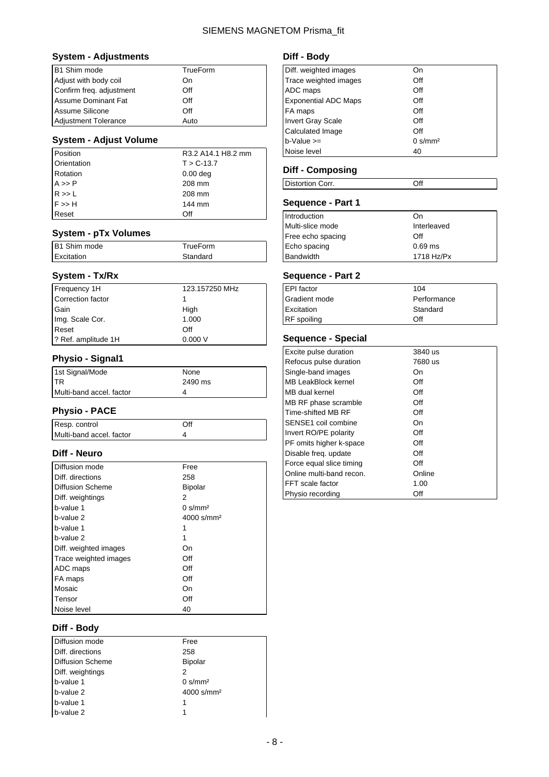### **System - Adjustments**

| B1 Shim mode                | TrueForm |
|-----------------------------|----------|
| Adjust with body coil       | On       |
| Confirm freq. adjustment    | Off      |
| <b>Assume Dominant Fat</b>  | Off      |
| Assume Silicone             | Off      |
| <b>Adjustment Tolerance</b> | Auto     |

### **System - Adjust Volume**

| Position                                     | R3.2 A14.1 H8.2 mm |
|----------------------------------------------|--------------------|
| Orientation                                  | $T > C - 13.7$     |
| Rotation                                     | $0.00$ deg         |
|                                              | 208 mm             |
| $A \gg P$<br>$R \gg L$<br>$F \gg H$<br>Reset | 208 mm             |
|                                              | 144 mm             |
|                                              | Off                |

#### **System - pTx Volumes**

| B1 Shim mode | TrueForm |
|--------------|----------|
| Excitation   | Standard |
|              |          |

### **System - Tx/Rx**

| Frequency 1H        | 123.157250 MHz |
|---------------------|----------------|
| Correction factor   |                |
| Gain                | High           |
| Img. Scale Cor.     | 1.000          |
| Reset               | Off            |
| ? Ref. amplitude 1H | 0.000V         |

## **Physio - Signal1**

| 1st Signal/Mode          | None    |
|--------------------------|---------|
| <b>ITR</b>               | 2490 ms |
| Multi-band accel. factor |         |

## **Physio - PACE**

| Resp. control            | Off |
|--------------------------|-----|
| Multi-band accel. factor |     |

### **Diff - Neuro**

| Diffusion mode          | Free                             |
|-------------------------|----------------------------------|
| Diff. directions        | 258                              |
| <b>Diffusion Scheme</b> | <b>Bipolar</b>                   |
| Diff. weightings        | 2                                |
| b-value 1               | $0 \frac{\text{s}}{\text{mm}^2}$ |
| b-value 2               | $4000$ s/mm <sup>2</sup>         |
| b-value 1               |                                  |
| b-value 2               | 1                                |
| Diff. weighted images   | On                               |
| Trace weighted images   | Off                              |
| ADC maps                | Off                              |
| FA maps                 | Off                              |
| Mosaic                  | On                               |
| Tensor                  | Off                              |
| Noise level             | 40                               |

### **Diff - Body**

| Diffusion mode   | Free                   |
|------------------|------------------------|
| Diff. directions | 258                    |
| Diffusion Scheme | Bipolar                |
| Diff. weightings |                        |
| b-value 1        | 0 s/mm <sup>2</sup>    |
| b-value 2        | 4000 s/mm <sup>2</sup> |
| b-value 1        |                        |
| b-value 2        |                        |

## **Diff - Body**

| Diff. weighted images       | On                  |
|-----------------------------|---------------------|
| Trace weighted images       | Off                 |
| ADC maps                    | Off                 |
| <b>Exponential ADC Maps</b> | Off                 |
| FA maps                     | Off                 |
| <b>Invert Gray Scale</b>    | Off                 |
| Calculated Image            | Off                 |
| $b$ -Value $>=$             | 0 s/mm <sup>2</sup> |
| Noise level                 | 40                  |

## **Diff - Composing**

| Distortion Corr. | $\sim$<br>ັ |  |
|------------------|-------------|--|

## **Sequence - Part 1**

| Introduction      | On          |
|-------------------|-------------|
| Multi-slice mode  | Interleaved |
| Free echo spacing | Off         |
| Echo spacing      | $0.69$ ms   |
| <b>Bandwidth</b>  | 1718 Hz/Px  |

## **Sequence - Part 2**

| EPI factor    | 104         |
|---------------|-------------|
| Gradient mode | Performance |
| Excitation    | Standard    |
| RF spoiling   | Off         |

## **Sequence - Special**

| <b>Excite pulse duration</b> | 3840 us |
|------------------------------|---------|
| Refocus pulse duration       | 7680 us |
| Single-band images           | On      |
| MB LeakBlock kernel          | Off     |
| MB dual kernel               | Off     |
| MB RF phase scramble         | Off     |
| Time-shifted MB RF           | Off     |
| SENSE1 coil combine          | On      |
| Invert RO/PE polarity        | Off     |
| PF omits higher k-space      | Off     |
| Disable freq. update         | Off     |
| Force equal slice timing     | Off     |
| Online multi-band recon.     | Online  |
| <b>FFT</b> scale factor      | 1.00    |
| Physio recording             | Off     |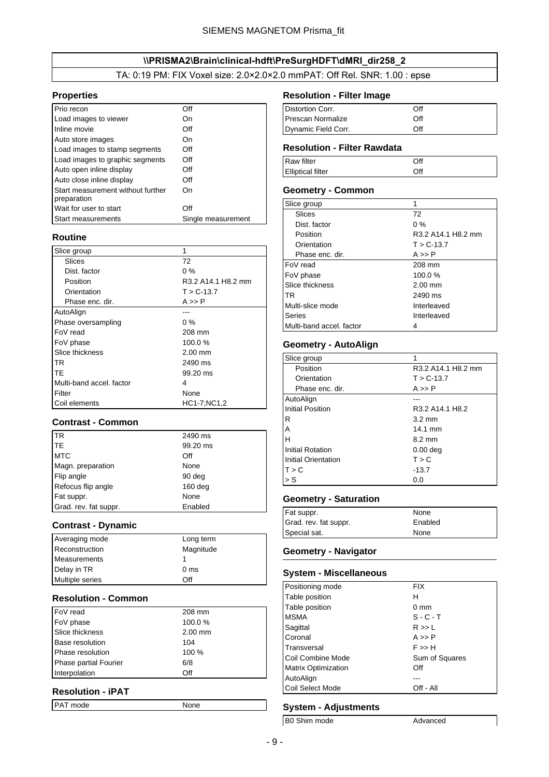#### \\PRISMA2\Brain\clinical-hdft\PreSurgHDFT\dMRI\_dir258\_2

#### TA: 0:19 PM: FIX Voxel size: 2.0×2.0×2.0 mmPAT: Off Rel. SNR: 1.00 : epse

### <span id="page-8-0"></span>**Properties**

| Prio recon                                       | Off                |
|--------------------------------------------------|--------------------|
| Load images to viewer                            | On                 |
| Inline movie                                     | Off                |
| Auto store images                                | On                 |
| Load images to stamp segments                    | Off                |
| Load images to graphic segments                  | Off                |
| Auto open inline display                         | Off                |
| Auto close inline display                        | Off                |
| Start measurement without further<br>preparation | On                 |
| Wait for user to start                           | Off                |
| <b>Start measurements</b>                        | Single measurement |

### **Routine**

| Slice group              | 1                  |
|--------------------------|--------------------|
| Slices                   | 72                 |
| Dist. factor             | $0\%$              |
| Position                 | R3.2 A14.1 H8.2 mm |
| Orientation              | $T > C - 13.7$     |
| Phase enc. dir.          | A >> P             |
| AutoAlign                |                    |
| Phase oversampling       | $0\%$              |
| FoV read                 | 208 mm             |
| FoV phase                | 100.0%             |
| Slice thickness          | $2.00$ mm          |
| <b>TR</b>                | 2490 ms            |
| <b>TE</b>                | 99.20 ms           |
| Multi-band accel, factor | 4                  |
| Filter                   | None               |
| Coil elements            | HC1-7:NC1.2        |

#### **Contrast - Common**

| <b>I</b> TR           | 2490 ms   |
|-----------------------|-----------|
| ITE.                  | 99.20 ms  |
| <b>MTC</b>            | Off       |
| Magn. preparation     | None      |
| Flip angle            | 90 deg    |
| Refocus flip angle    | $160$ deg |
| Fat suppr.            | None      |
| Grad. rev. fat suppr. | Enabled   |

#### **Contrast - Dynamic**

| Averaging mode         | Long term       |
|------------------------|-----------------|
| Reconstruction         | Magnitude       |
| Measurements           |                 |
| Delay in TR            | 0 <sub>ms</sub> |
| <b>Multiple series</b> | Off             |

#### **Resolution - Common**

| FoV read                     | 208 mm    |
|------------------------------|-----------|
| FoV phase                    | 100.0%    |
| Slice thickness              | $2.00$ mm |
| <b>Base resolution</b>       | 104       |
| Phase resolution             | 100 %     |
| <b>Phase partial Fourier</b> | 6/8       |
| Interpolation                | Off       |

## **Resolution - iPAT**

| PAT mode<br>None |
|------------------|
|------------------|

## **Resolution - Filter Image**

| Distortion Corr.         | ∩ff |  |
|--------------------------|-----|--|
| <b>Prescan Normalize</b> | ∩ff |  |
| Dynamic Field Corr.      | ∩ff |  |

### **Resolution - Filter Rawdata**

| Raw filter               | Off |  |
|--------------------------|-----|--|
| <b>Elliptical filter</b> | Off |  |

### **Geometry - Common**

| Slice group              |                    |
|--------------------------|--------------------|
| Slices                   | 72                 |
| Dist. factor             | $0\%$              |
| Position                 | R3.2 A14.1 H8.2 mm |
| Orientation              | $T > C - 13.7$     |
| Phase enc. dir.          | $A \gg P$          |
| FoV read                 | 208 mm             |
| FoV phase                | 100.0%             |
| Slice thickness          | $2.00$ mm          |
| TR.                      | 2490 ms            |
| Multi-slice mode         | Interleaved        |
| Series                   | Interleaved        |
| Multi-band accel. factor |                    |

#### **Geometry - AutoAlign**

| Slice group             | 1                  |
|-------------------------|--------------------|
| Position                | R3.2 A14.1 H8.2 mm |
| Orientation             | $T > C - 13.7$     |
| Phase enc. dir.         | A >> P             |
| AutoAlign               |                    |
| <b>Initial Position</b> | R3.2 A14.1 H8.2    |
| R                       | $3.2 \text{ mm}$   |
| Α                       | $14.1 \text{ mm}$  |
| н                       | $8.2 \text{ mm}$   |
| <b>Initial Rotation</b> | $0.00$ deg         |
| Initial Orientation     | T > C              |
| T > C                   | $-13.7$            |
| > S                     | 0.0                |

#### **Geometry - Saturation**

| Fat suppr.            | None    |
|-----------------------|---------|
| Grad. rev. fat suppr. | Enabled |
| Special sat.          | None    |

#### **Geometry - Navigator**

### **System - Miscellaneous**

| Positioning mode           | <b>FIX</b>     |
|----------------------------|----------------|
| Table position             | н              |
| Table position             | $0 \text{ mm}$ |
| <b>MSMA</b>                | $S - C - T$    |
| Sagittal                   | R >> L         |
| Coronal                    | $A \gg P$      |
| Transversal                | F >> H         |
| Coil Combine Mode          | Sum of Squares |
| <b>Matrix Optimization</b> | Off            |
| AutoAlign                  |                |
| Coil Select Mode           | Off - All      |

### **System - Adjustments**

B0 Shim mode Advanced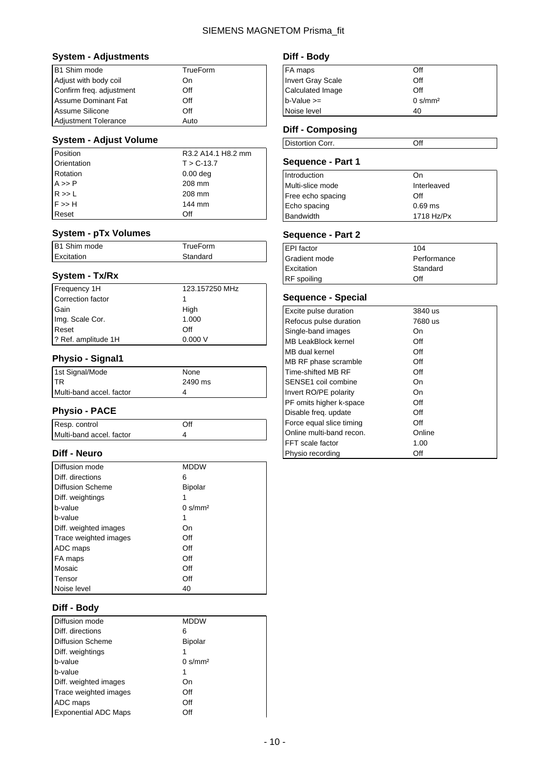### **System - Adjustments**

| B1 Shim mode                | TrueForm |
|-----------------------------|----------|
| Adjust with body coil       | On       |
| Confirm freq. adjustment    | Off      |
| <b>Assume Dominant Fat</b>  | Off      |
| Assume Silicone             | Off      |
| <b>Adjustment Tolerance</b> | Auto     |

### **System - Adjust Volume**

| Position                                     | R3.2 A14.1 H8.2 mm |
|----------------------------------------------|--------------------|
| Orientation                                  | $T > C - 13.7$     |
| Rotation                                     | $0.00$ deg         |
|                                              | 208 mm             |
| $A \gg P$<br>$R \gg L$<br>$F \gg H$<br>Reset | 208 mm             |
|                                              | 144 mm             |
|                                              | Off                |

#### **System - pTx Volumes**

| B1 Shim mode | TrueForm |
|--------------|----------|
| Excitation   | Standard |
|              |          |

### **System - Tx/Rx**

| Frequency 1H        | 123.157250 MHz |
|---------------------|----------------|
| Correction factor   |                |
| Gain                | High           |
| Img. Scale Cor.     | 1.000          |
| Reset               | Off            |
| ? Ref. amplitude 1H | 0.000V         |

## **Physio - Signal1**

| 1st Signal/Mode          | None    |
|--------------------------|---------|
| ITR.                     | 2490 ms |
| Multi-band accel. factor | 4       |

### **Physio - PACE**

| Resp. control            | ာff |
|--------------------------|-----|
| Multi-band accel. factor |     |

### **Diff - Neuro**

| Diffusion mode        | <b>MDDW</b>                      |
|-----------------------|----------------------------------|
| Diff. directions      | 6                                |
| Diffusion Scheme      | <b>Bipolar</b>                   |
| Diff. weightings      |                                  |
| b-value               | $0 \frac{\text{s}}{\text{mm}^2}$ |
| b-value               |                                  |
| Diff. weighted images | On                               |
| Trace weighted images | Off                              |
| ADC maps              | Off                              |
| FA maps               | Off                              |
| Mosaic                | Off                              |
| Tensor                | Off                              |
| Noise level           | 40                               |

### **Diff - Body**

| Diffusion mode              | <b>MDDW</b>                      |
|-----------------------------|----------------------------------|
| Diff. directions            | 6                                |
| <b>Diffusion Scheme</b>     | Bipolar                          |
| Diff. weightings            |                                  |
| b-value                     | $0 \frac{\text{s}}{\text{mm}^2}$ |
| b-value                     | 1                                |
| Diff. weighted images       | On                               |
| Trace weighted images       | Off                              |
| ADC maps                    | Off                              |
| <b>Exponential ADC Maps</b> | Off                              |

## **Diff - Body**

| FA maps           | Off                              |
|-------------------|----------------------------------|
| Invert Gray Scale | Off                              |
| Calculated Image  | Off                              |
| $b$ -Value $>=$   | $0 \frac{\text{s}}{\text{mm}^2}$ |
| Noise level       | 40                               |

## **Diff - Composing**

| Distortion Corr. | Off |  |
|------------------|-----|--|
|                  |     |  |

## **Sequence - Part 1**

| Introduction      | Ωn          |
|-------------------|-------------|
| Multi-slice mode  | Interleaved |
| Free echo spacing | Off         |
| Echo spacing      | $0.69$ ms   |
| Bandwidth         | 1718 Hz/Px  |
|                   |             |

### **Sequence - Part 2**

| EPI factor    | 104         |
|---------------|-------------|
| Gradient mode | Performance |
| Excitation    | Standard    |
| RF spoiling   | ∩ff         |
|               |             |

## **Sequence - Special**

| Excite pulse duration    | 3840 us |
|--------------------------|---------|
| Refocus pulse duration   | 7680 us |
| Single-band images       | On      |
| MB LeakBlock kernel      | Off     |
| MB dual kernel           | Off     |
| MB RF phase scramble     | Off     |
| Time-shifted MB RF       | Off     |
| SENSE1 coil combine      | On      |
| Invert RO/PE polarity    | On      |
| PF omits higher k-space  | Off     |
| Disable freq. update     | Off     |
| Force equal slice timing | Off     |
| Online multi-band recon. | Online  |
| FFT scale factor         | 1.00    |
| Physio recording         | Off     |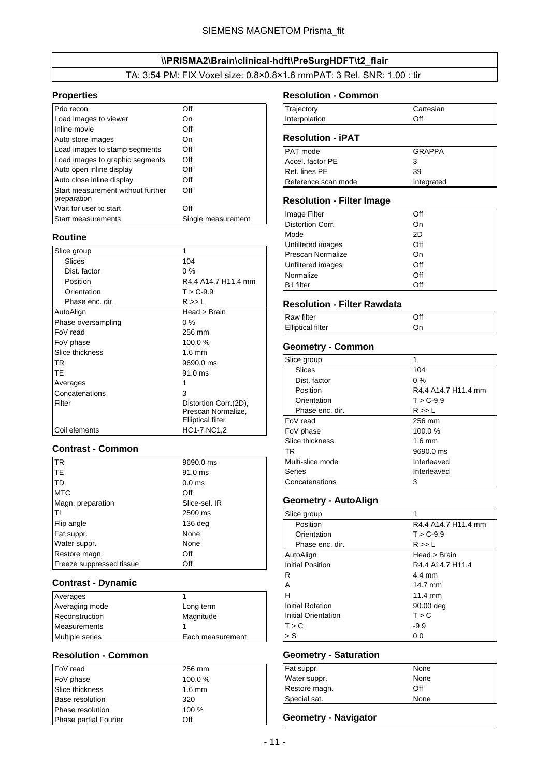### \\PRISMA2\Brain\clinical-hdft\PreSurgHDFT\t2\_flair

TA: 3:54 PM: FIX Voxel size: 0.8×0.8×1.6 mmPAT: 3 Rel. SNR: 1.00 : tir

#### <span id="page-10-0"></span>**Properties**

| Prio recon                                       | Off                |
|--------------------------------------------------|--------------------|
| Load images to viewer                            | On                 |
| Inline movie                                     | Off                |
| Auto store images                                | On                 |
| Load images to stamp segments                    | Off                |
| Load images to graphic segments                  | Off                |
| Auto open inline display                         | Off                |
| Auto close inline display                        | Off                |
| Start measurement without further<br>preparation | Off                |
| Wait for user to start                           | Off                |
| <b>Start measurements</b>                        | Single measurement |

### **Routine**

| Slice group        | 1                        |
|--------------------|--------------------------|
| Slices             | 104                      |
| Dist. factor       | $0\%$                    |
| Position           | R4.4 A14.7 H11.4 mm      |
| Orientation        | $T > C - 9.9$            |
| Phase enc. dir.    | R >> 1                   |
| AutoAlign          | Head > Brain             |
| Phase oversampling | $0\%$                    |
| FoV read           | 256 mm                   |
| FoV phase          | 100.0%                   |
| Slice thickness    | $1.6 \text{ mm}$         |
| <b>TR</b>          | 9690.0 ms                |
| <b>TE</b>          | $91.0$ ms                |
| Averages           |                          |
| Concatenations     | 3                        |
| Filter             | Distortion Corr.(2D),    |
|                    | Prescan Normalize,       |
|                    | <b>Elliptical filter</b> |
| Coil elements      | HC1-7;NC1,2              |

### **Contrast - Common**

| <b>I</b> TR              | 9690.0 ms         |
|--------------------------|-------------------|
| lte                      | 91.0 ms           |
| <b>TD</b>                | 0.0 <sub>ms</sub> |
| <b>MTC</b>               | Off               |
| Magn. preparation        | Slice-sel. IR     |
|                          | 2500 ms           |
| Flip angle               | $136$ deg         |
| Fat suppr.               | None              |
| Water suppr.             | None              |
| Restore magn.            | Off               |
| Freeze suppressed tissue | Off               |

#### **Contrast - Dynamic**

| Averages               |                  |
|------------------------|------------------|
| Averaging mode         | Long term        |
| Reconstruction         | Magnitude        |
| Measurements           |                  |
| <b>Multiple series</b> | Each measurement |

#### **Resolution - Common**

| FoV read               | 256 mm   |
|------------------------|----------|
| FoV phase              | 100.0%   |
| Slice thickness        | $1.6$ mm |
| <b>Base resolution</b> | 320      |
| Phase resolution       | 100 %    |
| Phase partial Fourier  | Off      |

#### **Resolution - Common**

| Trajectory    | Cartesian |
|---------------|-----------|
| Interpolation | Off       |

### **Resolution - iPAT**

| <b>PAT</b> mode     | GRAPPA     |
|---------------------|------------|
| Accel, factor PE    | З          |
| Ref. lines PE       | 39         |
| Reference scan mode | Integrated |

#### **Resolution - Filter Image**

| Image Filter             | Off |
|--------------------------|-----|
| <b>Distortion Corr.</b>  | On  |
| Mode                     | 2D  |
| Unfiltered images        | Off |
| <b>Prescan Normalize</b> | On  |
| Unfiltered images        | Off |
| Normalize                | Off |
| <b>B1</b> filter         | Off |

#### **Resolution - Filter Rawdata**

| <b>Raw filter</b>        | Off |  |
|--------------------------|-----|--|
| <b>Elliptical filter</b> |     |  |

### **Geometry - Common**

| Slice group      | 1                   |
|------------------|---------------------|
| Slices           | 104                 |
| Dist. factor     | $0\%$               |
| Position         | R4.4 A14.7 H11.4 mm |
| Orientation      | $T > C - 9.9$       |
| Phase enc. dir.  | R >> L              |
| FoV read         | 256 mm              |
| FoV phase        | 100.0%              |
| Slice thickness  | $1.6 \text{ mm}$    |
| <b>TR</b>        | 9690.0 ms           |
| Multi-slice mode | Interleaved         |
| Series           | Interleaved         |
| Concatenations   | 3                   |

### **Geometry - AutoAlign**

| Slice group             |                     |
|-------------------------|---------------------|
| Position                | R4.4 A14.7 H11.4 mm |
| Orientation             | $T > C - 9.9$       |
| Phase enc. dir.         | R >> L              |
| AutoAlign               | Head > Brain        |
| <b>Initial Position</b> | R4.4 A14.7 H11.4    |
| R                       | 4.4 mm              |
| Α                       | 14.7 mm             |
| H                       | $11.4 \text{ mm}$   |
| <b>Initial Rotation</b> | 90.00 deg           |
| Initial Orientation     | T > C               |
| T > C                   | $-9.9$              |
| > S                     | 0.0                 |

## **Geometry - Saturation**

| Fat suppr.    | None |
|---------------|------|
| Water suppr.  | None |
| Restore magn. | Off  |
| Special sat.  | None |

#### **Geometry - Navigator**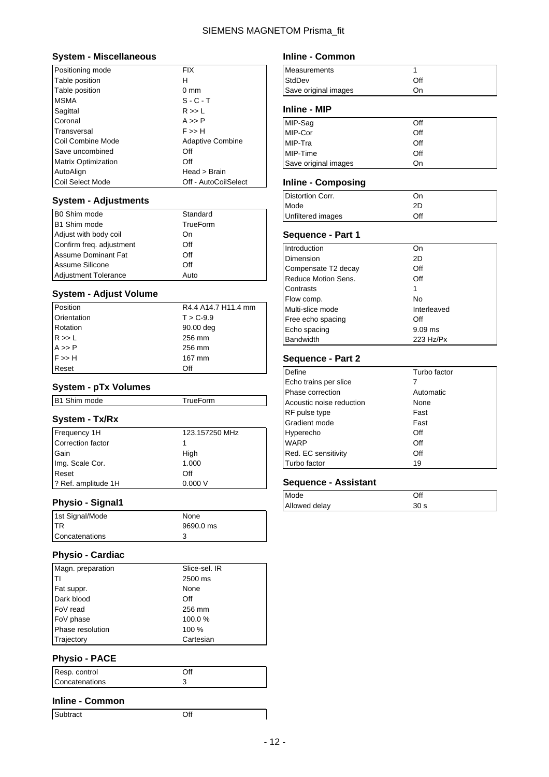#### **System - Miscellaneous**

| Positioning mode           | <b>FIX</b>              |
|----------------------------|-------------------------|
| Table position             | н                       |
| Table position             | $0 \text{ mm}$          |
| <b>MSMA</b>                | $S - C - T$             |
| Sagittal                   | R >> L                  |
| Coronal                    | A >> P                  |
| Transversal                | F >> H                  |
| Coil Combine Mode          | <b>Adaptive Combine</b> |
| Save uncombined            | Off                     |
| <b>Matrix Optimization</b> | Off                     |
| AutoAlign                  | Head > Brain            |
| Coil Select Mode           | Off - AutoCoilSelect    |

### **System - Adjustments**

| B0 Shim mode                | Standard |
|-----------------------------|----------|
| B1 Shim mode                | TrueForm |
| Adjust with body coil       | On       |
| Confirm freq. adjustment    | Off      |
| Assume Dominant Fat         | Off      |
| Assume Silicone             | Off      |
| <b>Adjustment Tolerance</b> | Auto     |

#### **System - Adjust Volume**

| Position               | R4.4 A14.7 H11.4 mm |
|------------------------|---------------------|
| Orientation            | $T > C - 9.9$       |
| Rotation               | 90.00 deg           |
| R >> L                 | 256 mm              |
| $A \gg P$<br>$F \gg H$ | 256 mm              |
|                        | 167 mm              |
| Reset                  | Off                 |

### **System - pTx Volumes**

| B1 Shim mode                      | TrueForm       |
|-----------------------------------|----------------|
| System - Tx/Rx                    |                |
|                                   | 123.157250 MHz |
| Frequency 1H<br>Correction factor | 1              |
| Gain                              | High           |
| Img. Scale Cor.                   | 1.000          |
| Reset                             | Off            |
| ? Ref. amplitude 1H               | 0.000V         |

### **Physio - Signal1**

| 1st Signal/Mode | None      |
|-----------------|-----------|
| <b>ITR</b>      | 9690.0 ms |
| Concatenations  |           |

#### **Physio - Cardiac**

| Magn. preparation | Slice-sel. IR |
|-------------------|---------------|
| ודו               | 2500 ms       |
| Fat suppr.        | None          |
| Dark blood        | Off           |
| FoV read          | 256 mm        |
| FoV phase         | 100.0%        |
| Phase resolution  | 100 %         |
| Trajectory        | Cartesian     |

### **Physio - PACE**

| Resp. control  |  |
|----------------|--|
| Concatenations |  |

### **Inline - Common**

Subtract Off

# Save original images **On**

| Inline - MIP         |     |
|----------------------|-----|
| MIP-Sag<br>MIP-Cor   | Off |
|                      | Off |
| MIP-Tra              | Off |
| MIP-Time             | Off |
| Save original images | On  |

### **Inline - Composing**

**Inline - Common**

Measurements 1 StdDev Off

| Distortion Corr.         | On  |
|--------------------------|-----|
| Mode                     | 2D  |
| <b>Unfiltered images</b> | Off |

### **Sequence - Part 1**

| Introduction        | On          |
|---------------------|-------------|
| Dimension           | 2D          |
| Compensate T2 decay | Off         |
| Reduce Motion Sens. | Off         |
| Contrasts           | 1           |
| Flow comp.          | No          |
| Multi-slice mode    | Interleaved |
| Free echo spacing   | Off         |
| Echo spacing        | $9.09$ ms   |
| Bandwidth           | 223 Hz/Px   |

### **Sequence - Part 2**

| Define                   | Turbo factor |
|--------------------------|--------------|
| Echo trains per slice    |              |
| Phase correction         | Automatic    |
| Acoustic noise reduction | None         |
| RF pulse type            | Fast         |
| Gradient mode            | Fast         |
| Hyperecho                | Off          |
| WARP                     | Off          |
| Red. EC sensitivity      | Off          |
| Turbo factor             | 19           |

| Mode          | Off             |
|---------------|-----------------|
| Allowed delay | 30 <sub>s</sub> |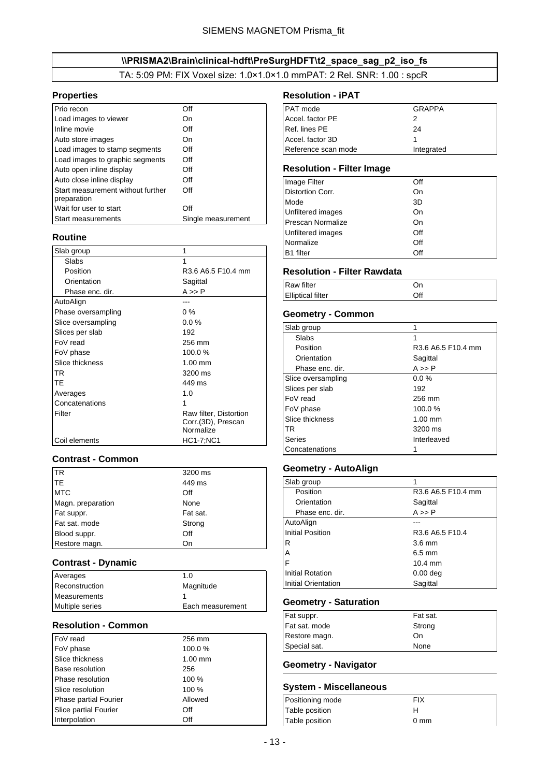## \\PRISMA2\Brain\clinical-hdft\PreSurgHDFT\t2\_space\_sag\_p2\_iso\_fs

TA: 5:09 PM: FIX Voxel size: 1.0×1.0×1.0 mmPAT: 2 Rel. SNR: 1.00 : spcR

#### <span id="page-12-0"></span>**Properties**

| Prio recon                                       | ∩ff                |
|--------------------------------------------------|--------------------|
| Load images to viewer                            | On                 |
| Inline movie                                     | Off                |
| Auto store images                                | On                 |
| Load images to stamp segments                    | Off                |
| Load images to graphic segments                  | Off                |
| Auto open inline display                         | Off                |
| Auto close inline display                        | Off                |
| Start measurement without further<br>preparation | Off                |
| Wait for user to start                           | Off                |
| <b>Start measurements</b>                        | Single measurement |

### **Routine**

| Slab group         | 1                                                         |
|--------------------|-----------------------------------------------------------|
| Slabs              | 1                                                         |
| Position           | R3.6 A6.5 F10.4 mm                                        |
| Orientation        | Sagittal                                                  |
| Phase enc. dir.    | $A \gg P$                                                 |
| AutoAlign          |                                                           |
| Phase oversampling | $0\%$                                                     |
| Slice oversampling | $0.0\%$                                                   |
| Slices per slab    | 192                                                       |
| FoV read           | 256 mm                                                    |
| FoV phase          | 100.0%                                                    |
| Slice thickness    | $1.00$ mm                                                 |
| TR                 | 3200 ms                                                   |
| TE                 | 449 ms                                                    |
| Averages           | 1.0                                                       |
| Concatenations     | 1                                                         |
| Filter             | Raw filter, Distortion<br>Corr.(3D), Prescan<br>Normalize |
| Coil elements      | HC1-7;NC1                                                 |

### **Contrast - Common**

| <b>ITR</b>        | 3200 ms  |
|-------------------|----------|
| <b>ITE</b>        | 449 ms   |
| <b>MTC</b>        | Off      |
| Magn. preparation | None     |
| Fat suppr.        | Fat sat. |
| Fat sat. mode     | Strong   |
| Blood suppr.      | Off      |
| Restore magn.     | On       |

#### **Contrast - Dynamic**

| Averages            | 1.0              |
|---------------------|------------------|
| Reconstruction      | Magnitude        |
| <b>Measurements</b> |                  |
| Multiple series     | Each measurement |

### **Resolution - Common**

| FoV read                     | 256 mm    |
|------------------------------|-----------|
| FoV phase                    | 100.0%    |
| Slice thickness              | $1.00$ mm |
| <b>Base resolution</b>       | 256       |
| Phase resolution             | 100 %     |
| Slice resolution             | 100 %     |
| <b>Phase partial Fourier</b> | Allowed   |
| Slice partial Fourier        | Off       |
| Interpolation                | Off       |

#### **Resolution - iPAT**

| PAT mode            | <b>GRAPPA</b> |
|---------------------|---------------|
| Accel. factor PE    | 2             |
| Ref. lines PE       | 24            |
| Accel. factor 3D    |               |
| Reference scan mode | Integrated    |

### **Resolution - Filter Image**

| Image Filter             | Off |
|--------------------------|-----|
| Distortion Corr.         | On  |
| Mode                     | 3D  |
| Unfiltered images        | On  |
| <b>Prescan Normalize</b> | On  |
| Unfiltered images        | Off |
| Normalize                | Off |
| <b>B1</b> filter         | Off |

### **Resolution - Filter Rawdata**

| <b>Raw filter</b>        | )r  |  |
|--------------------------|-----|--|
| <b>Elliptical filter</b> | Off |  |

### **Geometry - Common**

| Slab group         |                    |
|--------------------|--------------------|
| Slabs              | 1                  |
| Position           | R3.6 A6.5 F10.4 mm |
| Orientation        | Sagittal           |
| Phase enc. dir.    | $A \gg P$          |
| Slice oversampling | 0.0%               |
| Slices per slab    | 192                |
| FoV read           | 256 mm             |
| FoV phase          | 100.0%             |
| Slice thickness    | $1.00$ mm          |
| TR                 | 3200 ms            |
| Series             | Interleaved        |
| Concatenations     | 1                  |

### **Geometry - AutoAlign**

| Slab group              | 1                   |
|-------------------------|---------------------|
| Position                | R3.6 A6.5 F10.4 mm  |
| Orientation             | Sagittal            |
| Phase enc. dir.         | $A \gg P$           |
| AutoAlign               |                     |
| <b>Initial Position</b> | R3.6 A6.5 F10.4     |
| R                       | $3.6 \text{ mm}$    |
| A                       | $6.5 \text{ mm}$    |
| F                       | $10.4 \text{ mm}$   |
| Initial Rotation        | 0.00 <sub>deq</sub> |
| Initial Orientation     | Sagittal            |

### **Geometry - Saturation**

| Fat sat. |
|----------|
| Strong   |
| On       |
| None     |
|          |

### **Geometry - Navigator**

#### **System - Miscellaneous**

| Positioning mode | FIX            |
|------------------|----------------|
| Table position   |                |
| Table position   | $0 \text{ mm}$ |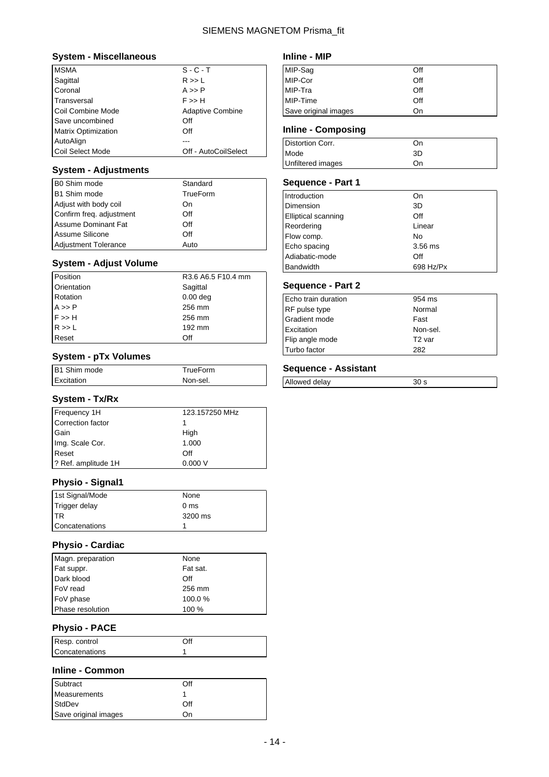#### **System - Miscellaneous**

| <b>MSMA</b>                | $S - C - T$             |
|----------------------------|-------------------------|
| Sagittal                   | R >> L                  |
| Coronal                    | A >> P                  |
| Transversal                | F >> H                  |
| Coil Combine Mode          | <b>Adaptive Combine</b> |
| Save uncombined            | Off                     |
| <b>Matrix Optimization</b> | Off                     |
| AutoAlign                  |                         |
| Coil Select Mode           | Off - AutoCoilSelect    |

### **System - Adjustments**

| B0 Shim mode                | Standard |
|-----------------------------|----------|
| B1 Shim mode                | TrueForm |
| Adjust with body coil       | On       |
| Confirm freq. adjustment    | Off      |
| <b>Assume Dominant Fat</b>  | Off      |
| Assume Silicone             | Off      |
| <b>Adjustment Tolerance</b> | Auto     |

### **System - Adjust Volume**

| Position                                     | R3.6 A6.5 F10.4 mm |
|----------------------------------------------|--------------------|
| Orientation                                  | Sagittal           |
| Rotation                                     | $0.00$ deg         |
| $A \gg P$<br>F $\gg H$<br>R $\gg L$<br>Reset | 256 mm             |
|                                              | 256 mm             |
|                                              | 192 mm             |
|                                              | Off                |

#### **System - pTx Volumes**

| B1 Shim mode | TrueForm |
|--------------|----------|
| Excitation   | Non-sel. |

### **System - Tx/Rx**

| Frequency 1H        | 123.157250 MHz |
|---------------------|----------------|
| Correction factor   |                |
| Gain                | High           |
| Img. Scale Cor.     | 1.000          |
| Reset               | Off            |
| ? Ref. amplitude 1H | 0.000V         |

### **Physio - Signal1**

| 1st Signal/Mode | None            |
|-----------------|-----------------|
| Trigger delay   | 0 <sub>ms</sub> |
| <b>ITR</b>      | 3200 ms         |
| Concatenations  |                 |

### **Physio - Cardiac**

| Magn. preparation | None     |
|-------------------|----------|
| Fat suppr.        | Fat sat. |
| Dark blood        | Off      |
| FoV read          | 256 mm   |
| FoV phase         | 100.0%   |
| Phase resolution  | 100 %    |

### **Physio - PACE**

| Resp. control  | ∩ff |
|----------------|-----|
| Concatenations |     |

### **Inline - Common**

| Subtract             | Off  |
|----------------------|------|
| Measurements         |      |
| <b>StdDev</b>        | Off  |
| Save original images | ( )ท |

### **Inline - MIP**

| MIP-Sag<br>MIP-Cor   | Off |
|----------------------|-----|
|                      | Off |
| MIP-Tra              | Off |
| MIP-Time             | Off |
| Save original images | On  |

### **Inline - Composing**

| Distortion Corr.  | On |
|-------------------|----|
| Mode              | 3D |
| Unfiltered images | On |

### **Sequence - Part 1**

| Introduction               | On        |
|----------------------------|-----------|
| Dimension                  | 3D        |
| <b>Elliptical scanning</b> | Off       |
| Reordering                 | Linear    |
| Flow comp.                 | No        |
| Echo spacing               | 3.56 ms   |
| Adiabatic-mode             | Off       |
| Bandwidth                  | 698 Hz/Px |

### **Sequence - Part 2**

| Echo train duration | 954 ms             |
|---------------------|--------------------|
| RF pulse type       | Normal             |
| Gradient mode       | Fast               |
| Excitation          | Non-sel.           |
| Flip angle mode     | T <sub>2</sub> var |
| Turbo factor        | 282                |

### **Sequence - Assistant**

Allowed delay 30 s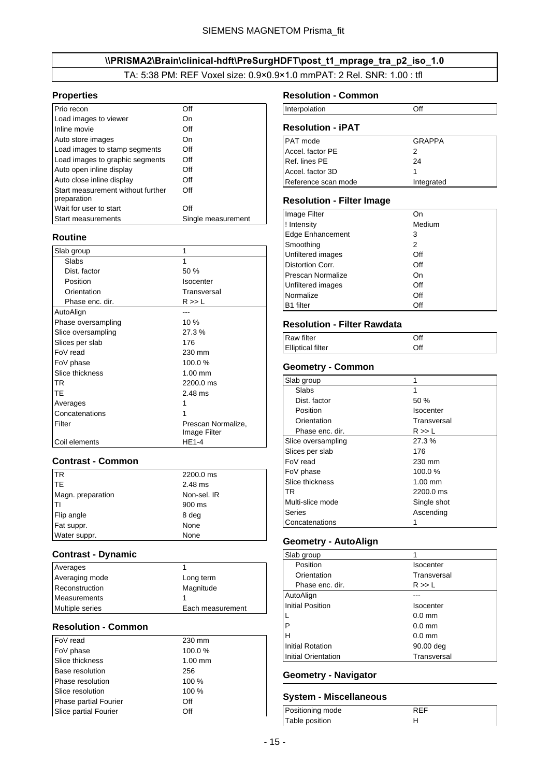## \\PRISMA2\Brain\clinical-hdft\PreSurgHDFT\post\_t1\_mprage\_tra\_p2\_iso\_1.0

TA: 5:38 PM: REF Voxel size: 0.9×0.9×1.0 mmPAT: 2 Rel. SNR: 1.00 : tfl

#### <span id="page-14-0"></span>**Properties**

| Prio recon                                       | Off                |
|--------------------------------------------------|--------------------|
| Load images to viewer                            | On                 |
| Inline movie                                     | Off                |
| Auto store images                                | On                 |
| Load images to stamp segments                    | Off                |
| Load images to graphic segments                  | Off                |
| Auto open inline display                         | Off                |
| Auto close inline display                        | Off                |
| Start measurement without further<br>preparation | Off                |
| Wait for user to start                           | Off                |
| <b>Start measurements</b>                        | Single measurement |

### **Routine**

| Slab group         | 1                                  |
|--------------------|------------------------------------|
| Slabs              | 1                                  |
| Dist. factor       | 50 %                               |
| Position           | <b>Isocenter</b>                   |
| Orientation        | Transversal                        |
| Phase enc. dir.    | R >> L                             |
| AutoAlign          |                                    |
| Phase oversampling | 10%                                |
| Slice oversampling | 27.3%                              |
| Slices per slab    | 176                                |
| FoV read           | 230 mm                             |
| FoV phase          | 100.0%                             |
| Slice thickness    | $1.00$ mm                          |
| TR                 | 2200.0 ms                          |
| TE                 | $2.48$ ms                          |
| Averages           |                                    |
| Concatenations     |                                    |
| Filter             | Prescan Normalize,<br>Image Filter |
| Coil elements      | HE1-4                              |

### **Contrast - Common**

| TR                | 2200.0 ms   |
|-------------------|-------------|
| <b>TE</b>         | 2.48 ms     |
| Magn. preparation | Non-sel. IR |
| Iтı               | 900 ms      |
| Flip angle        | 8 deg       |
| Fat suppr.        | None        |
| Water suppr.      | None        |

#### **Contrast - Dynamic**

| Averages               |                  |
|------------------------|------------------|
| Averaging mode         | Long term        |
| Reconstruction         | Magnitude        |
| Measurements           |                  |
| <b>Multiple series</b> | Each measurement |

#### **Resolution - Common**

| FoV read               | 230 mm    |
|------------------------|-----------|
| FoV phase              | 100.0%    |
| Slice thickness        | $1.00$ mm |
| <b>Base resolution</b> | 256       |
| Phase resolution       | 100 %     |
| Slice resolution       | 100 %     |
| Phase partial Fourier  | Off       |
| Slice partial Fourier  | Off       |

### **Resolution - Common**

| <b>Interpolation</b>     |  |
|--------------------------|--|
| <b>Resolution - iPAT</b> |  |

| <b>PAT</b> mode     | <b>GRAPPA</b> |
|---------------------|---------------|
| Accel, factor PE    | 2             |
| Ref. lines PE       | 24            |
| Accel, factor 3D    |               |
| Reference scan mode | Integrated    |

#### **Resolution - Filter Image**

| Image Filter             | Οn     |
|--------------------------|--------|
| ! Intensity              | Medium |
| <b>Edge Enhancement</b>  | 3      |
| Smoothing                | 2      |
| Unfiltered images        | Off    |
| Distortion Corr.         | Off    |
| <b>Prescan Normalize</b> | On     |
| Unfiltered images        | Off    |
| Normalize                | Off    |
| <b>B1</b> filter         | Off    |

### **Resolution - Filter Rawdata**

| <b>Raw filter</b>        | ∩ff |  |
|--------------------------|-----|--|
| <b>Elliptical filter</b> | Off |  |

### **Geometry - Common**

| Slab group         |             |
|--------------------|-------------|
| Slabs              | 1           |
| Dist. factor       | 50%         |
| Position           | Isocenter   |
| Orientation        | Transversal |
| Phase enc. dir.    | R >> L      |
| Slice oversampling | 27.3%       |
| Slices per slab    | 176         |
| FoV read           | 230 mm      |
| FoV phase          | 100.0%      |
| Slice thickness    | $1.00$ mm   |
| <b>TR</b>          | 2200.0 ms   |
| Multi-slice mode   | Single shot |
| Series             | Ascending   |
| Concatenations     |             |

### **Geometry - AutoAlign**

| Slab group              | 1                |
|-------------------------|------------------|
| Position                | Isocenter        |
| Orientation             | Transversal      |
| Phase enc. dir.         | R >> L           |
| AutoAlign               |                  |
| <b>Initial Position</b> | Isocenter        |
| $\mathbf{L}$            | $0.0 \text{ mm}$ |
| P                       | $0.0 \text{ mm}$ |
| н                       | $0.0 \text{ mm}$ |
| <b>Initial Rotation</b> | 90.00 deg        |
| Initial Orientation     | Transversal      |
|                         |                  |

REF

### **Geometry - Navigator**

#### **System - Miscellaneous**

| Positioning mode | R |
|------------------|---|
| Table position   |   |